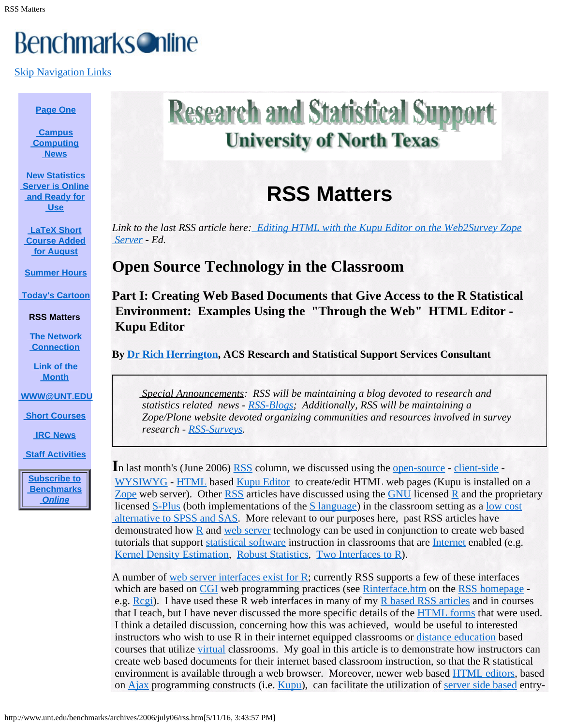# **Benchmarks Online**

[Skip Navigation Links](#page-0-0)

#### **[Page One](http://www.unt.edu/benchmarks/archives/2006/july06/index.htm)**

**[Campus](http://www.unt.edu/benchmarks/archives/2006/july06/comp.htm)  [Computing](http://www.unt.edu/benchmarks/archives/2006/july06/comp.htm)  [News](http://www.unt.edu/benchmarks/archives/2006/july06/comp.htm)**

<span id="page-0-0"></span>**[New Statistics](http://www.unt.edu/benchmarks/archives/2006/july06/statserver.htm)  [Server is Online](http://www.unt.edu/benchmarks/archives/2006/july06/statserver.htm)  [and Ready for](http://www.unt.edu/benchmarks/archives/2006/july06/statserver.htm)  [Use](http://www.unt.edu/benchmarks/archives/2006/july06/statserver.htm)**

**[LaTeX Short](http://www.unt.edu/benchmarks/archives/2006/july06/latex.htm)  [Course Added](http://www.unt.edu/benchmarks/archives/2006/july06/latex.htm)  [for August](http://www.unt.edu/benchmarks/archives/2006/july06/latex.htm)**

**[Summer Hours](http://www.unt.edu/benchmarks/archives/2006/july06/hours.htm)**

**[Today's Cartoon](http://www.unt.edu/benchmarks/archives/2006/july06/cartoon.htm)**

**RSS Matters**

**[The Network](http://www.unt.edu/benchmarks/archives/2006/july06/netcom.htm)  [Connection](http://www.unt.edu/benchmarks/archives/2006/july06/netcom.htm)**

**[Link of the](http://www.unt.edu/benchmarks/archives/2006/july06/lom.htm)  [Month](http://www.unt.edu/benchmarks/archives/2006/july06/lom.htm)**

**[WWW@UNT.EDU](http://www.unt.edu/benchmarks/archives/2006/july06/wwwuntedu.htm)**

**[Short Courses](http://www.unt.edu/benchmarks/archives/2006/july06/short.htm)**

**[IRC News](http://www.unt.edu/benchmarks/archives/2006/july06/irc.htm)**

**[Staff Activities](http://www.unt.edu/benchmarks/archives/2006/july06/stafact.htm)**

**[Subscribe to](http://www.unt.edu/benchmarks/subscribe.htm)  [Benchmarks](http://www.unt.edu/benchmarks/subscribe.htm)** *[Online](http://www.unt.edu/benchmarks/subscribe.htm)*

# **Research and Statistical Support University of North Texas**

# **RSS Matters**

*Link to the last RSS article here[:](http://www.unt.edu/benchmarks/archives/2006/may06/rss.htm) [Editing HTML with the Kupu Editor on the Web2Survey Zope](http://www.unt.edu/benchmarks/archives/2006/june06/rss.htm)  [Server](http://www.unt.edu/benchmarks/archives/2006/june06/rss.htm) - Ed.*

# **Open Source Technology in the Classroom**

**Part I: Creating Web Based Documents that Give Access to the R Statistical Environment: Examples Using the "Through the Web" HTML Editor - Kupu Editor**

**By [Dr Rich Herrington](mailto:richherr@cc.admin.unt.edu), ACS Research and Statistical Support Services Consultant**

*Special Announcements: RSS will be maintaining a blog devoted to research and statistics related news - [RSS-Blogs](https://web2survey.unt.edu/RSS-Blogs); Additionally, RSS will be maintaining a Zope/Plone website devoted organizing communities and resources involved in survey research - [RSS-Surveys](https://web2survey.unt.edu/RSS-Surveys).*

In last month's (June 2006) [RSS](http://www.unt.edu/rss/faq/faq.html) column, we discussed using the <u>[open-source](http://en.wikipedia.org/wiki/Open_source)</u> - [client-side](http://en.wikipedia.org/wiki/Client-side) -[WYSIWYG](http://en.wikipedia.org/wiki/WYSIWYG) - [HTML](http://en.wikipedia.org/wiki/HTML) based [Kupu Editor](http://en.wikipedia.org/wiki/Kupu) to create/edit HTML web pages (Kupu is installed on a [Zope](http://en.wikipedia.org/wiki/Zope) web server). Other [RSS](http://www.unt.edu/rss) articles have discussed using the [GNU](http://en.wikipedia.org/wiki/GNU) licensed [R](http://en.wikipedia.org/wiki/R_programming_language) and the proprietary licensed [S-Plus](http://en.wikipedia.org/wiki/S-PLUS) (both implementations of the [S language](http://en.wikipedia.org/wiki/S_(programming_language))) in the classroom setting as a [low cost](http://www.unt.edu/benchmarks/archives/2005/march05/rss.htm)  [alternative to SPSS and SAS](http://www.unt.edu/benchmarks/archives/2005/march05/rss.htm). More relevant to our purposes here, past RSS articles have demonstrated how  $R$  and [web server](http://en.wikipedia.org/wiki/Web_server) technology can be used in conjunction to create web based tutorials that support [statistical software](http://en.wikipedia.org/wiki/Statistical_software) instruction in classrooms that are [Internet](http://en.wikipedia.org/wiki/Internet) enabled (e.g. [Kernel Density Estimation](http://www.unt.edu/benchmarks/archives/2003/february03/rss.htm), [Robust Statistics](http://www.unt.edu/benchmarks/archives/2001/july01/rss.htm), [Two Interfaces to R](http://www.unt.edu/benchmarks/archives/2004/october04/rss.htm)).

A number of <u>[web server interfaces exist for R](http://rss.acs.unt.edu/Rdoc/doc/manual/R-FAQ.html#R-Web-Interfaces)</u>; currently RSS supports a few of these interfaces which are based on [CGI](http://en.wikipedia.org/wiki/Common_Gateway_Interface) web programming practices (see [Rinterface.htm](http://www.unt.edu/rss/Rinterface.htm) on the [RSS homepage](http://www.unt.edu/rss/) -e.g. [Rcgi](http://rss.acs.unt.edu/cgi-bin/R/Rprog)). I have used these R web interfaces in many of my [R based RSS articles](http://www.unt.edu/rss/SPLUSclasslinks.html#RBenchmarkSeries) and in courses that I teach, but I have never discussed the more specific details of the [HTML forms](http://en.wikipedia.org/wiki/HTML_form) that were used. I think a detailed discussion, concerning how this was achieved, would be useful to interested instructors who wish to use R in their internet equipped classrooms or [distance education](http://en.wikipedia.org/wiki/Distance_learning) based courses that utilize [virtual](http://en.wikipedia.org/wiki/Virtual_education) classrooms. My goal in this article is to demonstrate how instructors can create web based documents for their internet based classroom instruction, so that the R statistical environment is available through a web browser. Moreover, newer web based [HTML editors](http://www.geniisoft.com/showcase.nsf/WebEditors), based on [Ajax](http://en.wikipedia.org/wiki/Ajax_(programming)) programming constructs (i.e. [Kupu](http://en.wikipedia.org/wiki/Kupu)), can facilitate the utilization of [server side based](http://en.wikipedia.org/wiki/Server-side_script) entry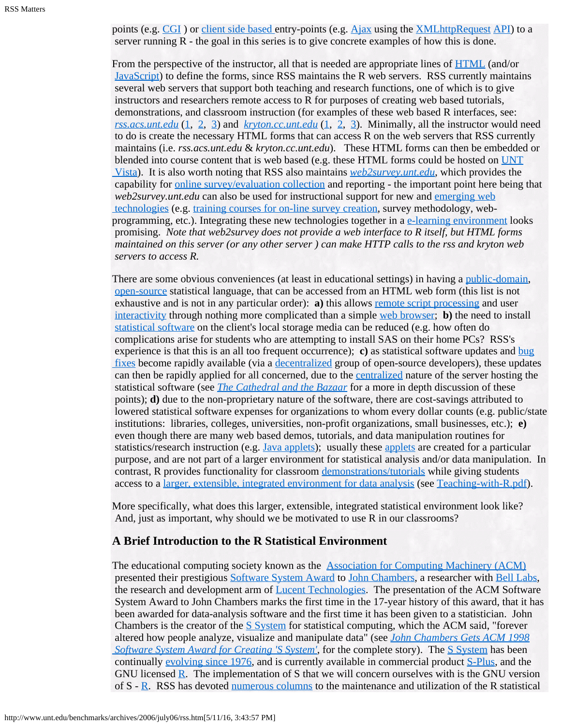points (e.g. [CGI](http://en.wikipedia.org/wiki/Common_Gateway_Interface)) or [client side based](http://en.wikipedia.org/wiki/Client-side_scripting) entry-points (e.g. [Ajax](http://en.wikipedia.org/wiki/Ajax_(programming)) using the [XMLhttpRequest](http://en.wikipedia.org/wiki/Xmlhttprequest) [API](http://en.wikipedia.org/wiki/Application_programming_interface)) to a server running R - the goal in this series is to give concrete examples of how this is done.

From the perspective of the instructor, all that is needed are appropriate lines of [HTML](http://en.wikipedia.org/wiki/HTML) (and/or [JavaScript](http://en.wikipedia.org/wiki/Javascript)) to define the forms, since RSS maintains the R web servers. RSS currently maintains several web servers that support both teaching and research functions, one of which is to give instructors and researchers remote access to R for purposes of creating web based tutorials, demonstrations, and classroom instruction (for examples of these web based R interfaces, see: *[rss.acs.unt.edu](http://rss.acs.unt.edu/cgi-bin/R/Rprog)* [\(1](http://rss.acs.unt.edu/cgi-bin/R/Rprog), [2](http://rss.acs.unt.edu/Rweb/), [3](http://rss.acs.unt.edu/cgi-bin/r-online/r-online.cgi)) and *[kryton.cc.unt.edu](http://kryton.cc.unt.edu/cgi-bin/R/Rprog)* ([1,](http://kryton.cc.unt.edu/cgi-bin/R/Rprog) [2](http://kryton.cc.unt.edu/Rweb/), [3\)](http://kryton.cc.unt.edu/cgi-bin/r-online/r-online.cgi). Minimally, all the instructor would need to do is create the necessary HTML forms that can access R on the web servers that RSS currently maintains (i.e. *rss.acs.unt.edu* & *kryton.cc.unt.edu*). These HTML forms can then be embedded or blended into course content that is web based (e.g. these HTML forms could be hosted on [UNT](http://courses.unt.edu/webct/vista/faculty/index.htm)  [Vista](http://courses.unt.edu/webct/vista/faculty/index.htm)). It is also worth noting that RSS also maintains *[web2survey.unt.edu](https://web2survey.unt.edu/)*, which provides the capability for [online survey/evaluation collection](http://www.unt.edu/benchmarks/archives/2004/december04/rss.htm) and reporting - the important point here being that *web2survey.unt.edu* can also be used for instructional support for new and *[emerging web](http://www.unt.edu/benchmarks/archives/2006/may06/rss.htm)*  [technologies](http://www.unt.edu/benchmarks/archives/2006/may06/rss.htm) (e.g. [training courses for on-line survey creation](http://www.unt.edu/benchmarks/archives/2005/june05/rss.htm), survey methodology, webprogramming, etc.). Integrating these new technologies together in a  $e$ -learning environment looks promising. *Note that web2survey does not provide a web interface to R itself, but HTML forms maintained on this server (or any other server ) can make HTTP calls to the rss and kryton web servers to access R.*

There are some obvious conveniences (at least in educational settings) in having a <u>[public-domain](http://en.wikipedia.org/wiki/Public_domain)</u>, [open-source](http://en.wikipedia.org/wiki/Open_Source) statistical language, that can be accessed from an HTML web form (this list is not exhaustive and is not in any particular order): **a**) this allows <u>[remote script processing](http://en.wikipedia.org/wiki/Remote_Scripting)</u> and user [interactivity](http://en.wikipedia.org/wiki/Interactivity) through nothing more complicated than a simple [web browser](http://en.wikipedia.org/wiki/Web_browser); **b)** the need to install [statistical software](http://en.wikipedia.org/wiki/List_of_statistical_packages) on the client's local storage media can be reduced (e.g. how often do complications arise for students who are attempting to install SAS on their home PCs? RSS's experience is that this is an all too frequent occurrence); **c)** as statistical software updates and [bug](http://en.wikipedia.org/wiki/Bug_fix)  [fixes](http://en.wikipedia.org/wiki/Bug_fix) become rapidly available (via a [decentralized](http://en.wikipedia.org/wiki/Decentralized) group of open-source developers), these updates can then be rapidly applied for all concerned, due to the [centralized](http://en.wikipedia.org/wiki/Centralized_system) nature of the server hosting the statistical software (see *[The Cathedral and the Bazaar](http://en.wikipedia.org/wiki/The_Cathedral_and_the_Bazaar)* for a more in depth discussion of these points); **d)** due to the non-proprietary nature of the software, there are cost-savings attributed to lowered statistical software expenses for organizations to whom every dollar counts (e.g. public/state institutions: libraries, colleges, universities, non-profit organizations, small businesses, etc.); **e)** even though there are many web based demos, tutorials, and data manipulation routines for statistics/research instruction (e.g. [Java applets](http://www.stat.tamu.edu/~west/javahtml/)); usually these [applets](http://en.wikipedia.org/wiki/Applet) are created for a particular purpose, and are not part of a larger environment for statistical analysis and/or data manipulation. In contrast, R provides functionality for classroom [demonstrations/tutorials](http://rss.acs.unt.edu/Rdoc/library/TeachingDemos/html/00Index.html) while giving students access to a [larger, extensible, integrated environment for data analysis](http://www.r-project.org/) (see [Teaching-with-R.pdf](http://www.unt.edu/rss/Teaching-with-R.pdf)).

More specifically, what does this larger, extensible, integrated statistical environment look like? And, just as important, why should we be motivated to use R in our classrooms?

### **A Brief Introduction to the R Statistical Environment**

The educational computing society known as the [Association for Computing Machinery \(ACM\)](http://en.wikipedia.org/wiki/Association_for_Computing_Machinery) presented their prestigious [Software System Award](http://www.acm.org/awards/ssaward.html) to [John Chambers](http://cm.bell-labs.com/cm/ms/departments/sia/jmc/), a researcher with [Bell Labs](http://cm.bell-labs.com/cm/ms/departments/sia/index.html), the research and development arm of **[Lucent Technologies](http://en.wikipedia.org/wiki/Lucent_Technologies)**. The presentation of the ACM Software System Award to John Chambers marks the first time in the 17-year history of this award, that it has been awarded for data-analysis software and the first time it has been given to a statistician. John Chambers is the creator of the [S System](http://en.wikipedia.org/wiki/S_programming_language) for statistical computing, which the ACM said, "forever altered how people analyze, visualize and manipulate data" (see *[John Chambers Gets ACM 1998](http://www.bell-labs.com/news/1999/april/7/1.html)  [Software System Award for Creating 'S System](http://www.bell-labs.com/news/1999/april/7/1.html)'*, for the complete story). The [S System](http://cm.bell-labs.com/cm/ms/departments/sia/S/index.html) has been continually [evolving since 1976](http://cm.bell-labs.com/cm/ms/departments/sia/S/history.html), and is currently available in commercial product [S-Plus](http://en.wikipedia.org/wiki/S-PLUS), and the GNU licensed [R](http://en.wikipedia.org/wiki/R_programming_language). The implementation of S that we will concern ourselves with is the GNU version of S - [R](http://www.cran.r-project.org/). RSS has devoted [numerous columns](http://www.unt.edu/rss/SPLUSclasslinks.html#RBenchmarkSeries) to the maintenance and utilization of the R statistical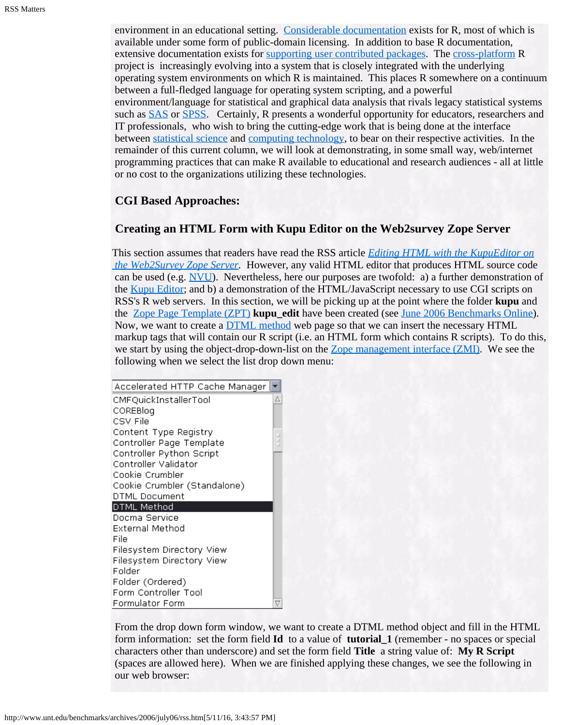environment in an educational setting. [Considerable documentation](http://www.cran.r-project.org/manuals.html) exists for R, most of which is available under some form of public-domain licensing. In addition to base R documentation, extensive documentation exists for [supporting user contributed packages](http://www.cran.r-project.org/src/contrib/PACKAGES.html). The [cross-platform](http://en.wikipedia.org/wiki/Cross_platform) R project is increasingly evolving into a system that is closely integrated with the underlying operating system environments on which R is maintained. This places R somewhere on a continuum between a full-fledged language for operating system scripting, and a powerful environment/language for statistical and graphical data analysis that rivals legacy statistical systems such as [SAS](http://en.wikipedia.org/wiki/SAS_System) or [SPSS](http://en.wikipedia.org/wiki/SPSS). Certainly, R presents a wonderful opportunity for educators, researchers and IT professionals, who wish to bring the cutting-edge work that is being done at the interface between [statistical science](http://en.wikipedia.org/wiki/Statistical_science) and [computing technology](http://en.wikipedia.org/wiki/Computing), to bear on their respective activities. In the remainder of this current column, we will look at demonstrating, in some small way, web/internet programming practices that can make R available to educational and research audiences - all at little or no cost to the organizations utilizing these technologies.

## **CGI Based Approaches:**

## **Creating an HTML Form with Kupu Editor on the Web2survey Zope Server**

This section assumes that readers have read the RSS article *[Editing HTML with the KupuEditor on](http://www.unt.edu/benchmarks/archives/2006/june06/rss.htm)  [the Web2Survey Zope Server](http://www.unt.edu/benchmarks/archives/2006/june06/rss.htm).* However, any valid HTML editor that produces HTML source code can be used (e.g.  $\overline{N}$ VU). Nevertheless, here our purposes are twofold: a) a further demonstration of the [Kupu Editor](http://en.wikipedia.org/wiki/Kupu); and b) a demonstration of the HTML/JavaScript necessary to use CGI scripts on RSS's R web servers. In this section, we will be picking up at the point where the folder **kupu** and the [Zope Page Template \(ZPT\)](http://www.zope.org/Documentation/Books/ZopeBook/2_6Edition/ZPT.stx) **kupu\_edit** have been created (see [June 2006 Benchmarks Online](http://www.unt.edu/benchmarks/archives/2006/june06/rss.htm)). Now, we want to create a [DTML method](http://www.zope.org/Documentation/Books/ZopeBook/2_6Edition/DTML.stx) web page so that we can insert the necessary HTML markup tags that will contain our R script (i.e. an HTML form which contains R scripts). To do this, we start by using the object-drop-down-list on the [Zope management interface \(ZMI\)](http://www.zope.org/Documentation/Books/ZopeBook/2_6Edition/UsingZope.stx). We see the following when we select the list drop down menu:

| Accelerated HTTP Cache Manager |  |
|--------------------------------|--|
| CMFQuickInstallerTool          |  |
| COREBIog                       |  |
| CSV File                       |  |
| Content Type Registry          |  |
| Controller Page Template       |  |
| Controller Python Script       |  |
| Controller Validator           |  |
| Cookie Crumbler                |  |
| Cookie Crumbler (Standalone)   |  |
| DTML Document                  |  |
| DTML Method                    |  |
| Docma Service                  |  |
| External Method                |  |
| File                           |  |
| Filesystem Directory View      |  |
| Filesystem Directory View      |  |
| Folder                         |  |
| Folder (Ordered)               |  |
| Form Controller Tool           |  |
| Formulator Form                |  |

From the drop down form window, we want to create a DTML method object and fill in the HTML form information: set the form field **Id** to a value of **tutorial\_1** (remember - no spaces or special characters other than underscore) and set the form field **Title** a string value of: **My R Script** (spaces are allowed here). When we are finished applying these changes, we see the following in our web browser: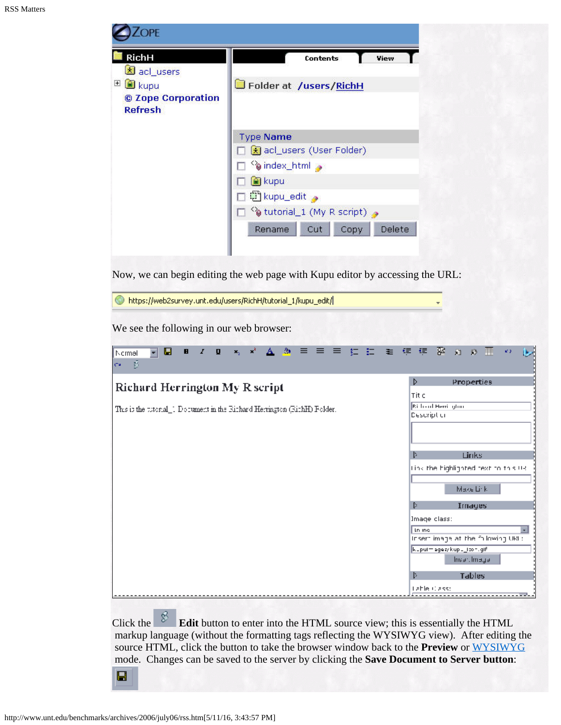| <b>RichH</b><br>acl_users<br>□ ■ kupu<br>© Zope Corporation | <b>Contents</b><br>View<br>Folder at /users/RichH              |
|-------------------------------------------------------------|----------------------------------------------------------------|
| <b>Refresh</b>                                              | <b>Type Name</b><br>acl_users (User Folder)                    |
|                                                             | o index_html<br><b>ia</b> kupu<br>□ kupu_edit ●                |
|                                                             | otutorial_1 (My R script) a<br>Delete<br>Copy<br>Rename<br>Cut |

Now, we can begin editing the web page with Kupu editor by accessing the URL:

|  | https://web2survey.unt.edu/users/RichH/tutorial_1/kupu_edit/ |  |
|--|--------------------------------------------------------------|--|
|--|--------------------------------------------------------------|--|

We see the following in our web browser:

| *, * A 3 三三三红江王年年 B 8 3 3 晋<br>u<br>$I \cup I$<br>$\mathbf{H}$<br>ᆌ<br>Normal<br>- 31<br>Ca.                       | ka p<br>le-                                                                                                                                                                                                                                                                             |
|--------------------------------------------------------------------------------------------------------------------|-----------------------------------------------------------------------------------------------------------------------------------------------------------------------------------------------------------------------------------------------------------------------------------------|
| <b>Richard Herrington My R script</b><br>This is the titlenal_1 Document in the Richard Herrington (RichH) Folder. | <b>Properties</b><br>D<br>Tit c<br><b>Richard Herricolon</b><br>Description<br>Þ<br>Links<br>tink the highlighted text to this UR.<br>Make Link.<br>Þ.<br><b>Images</b><br>Image class:<br>In me<br>$\overline{ }$<br>Insert image at the following URL:<br>kuputmaga ay kupu_toon.gifi |
|                                                                                                                    | <b>Egemlineanl</b><br>Þ<br>Tables<br>Lable Class:                                                                                                                                                                                                                                       |

Click the **Edit** button to enter into the HTML source view; this is essentially the HTML markup language (without the formatting tags reflecting the WYSIWYG view). After editing the source HTML, click the button to take the browser window back to the **Preview** or [WYSIWYG](http://en.wikipedia.org/wiki/Wysiwyg) mode. Changes can be saved to the server by clicking the **Save Document to Server button**:

 $\blacksquare$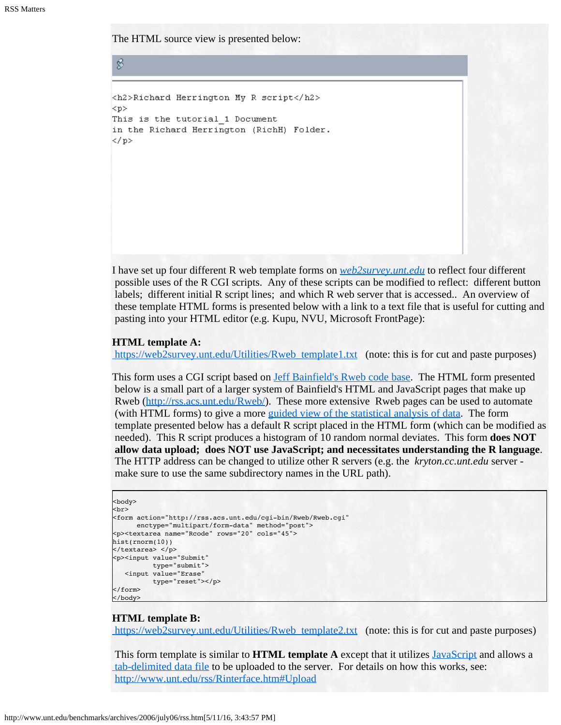The HTML source view is presented below:

```
<h2>Richard Herrington My R script</h2>
< p >This is the tutorial 1 Document
in the Richard Herrington (RichH) Folder.
\langle/p>
```
I have set up four different R web template forms on *[web2survey.unt.edu](https://web2survey.unt.edu/)* to reflect four different possible uses of the R CGI scripts. Any of these scripts can be modified to reflect: different button labels; different initial R script lines; and which R web server that is accessed.. An overview of these template HTML forms is presented below with a link to a text file that is useful for cutting and pasting into your HTML editor (e.g. Kupu, NVU, Microsoft FrontPage):

#### **HTML template A:**

[https://web2survey.unt.edu/Utilities/Rweb\\_template1.txt](https://web2survey.unt.edu/Utilities/Rweb_template1.txt) (note: this is for cut and paste purposes)

This form uses a CGI script based on **[Jeff Bainfield's Rweb code base](http://www.jstatsoft.org/v04/i01/Rweb.pdf)**. The HTML form presented below is a small part of a larger system of Bainfield's HTML and JavaScript pages that make up Rweb [\(http://rss.acs.unt.edu/Rweb/](http://rss.acs.unt.edu/Rweb/)). These more extensive Rweb pages can be used to automate (with HTML forms) to give a more [guided view of the statistical analysis of data](http://rss.acs.unt.edu/cgi-bin/Rweb/buildModules.cgi). The form template presented below has a default R script placed in the HTML form (which can be modified as needed). This R script produces a histogram of 10 random normal deviates. This form **does NOT allow data upload; does NOT use JavaScript; and necessitates understanding the R language**. The HTTP address can be changed to utilize other R servers (e.g. the *kryton.cc.unt.edu* server make sure to use the same subdirectory names in the URL path).

```
<body>
```
8

```
br><form action="http://rss.acs.unt.edu/cgi-bin/Rweb/Rweb.cgi"
      enctype="multipart/form-data" method="post">
<p><textarea name="Rcode" rows="20" cols="45">
hist(rnorm(10))
</textarea> </p>
<p><input value="Submit" 
          type="submit"> 
   <input value="Erase" 
          type="reset"></p>
</form>
</body>
```
#### **HTML template B:**

[https://web2survey.unt.edu/Utilities/Rweb\\_template2.txt](https://web2survey.unt.edu/Utilities/Rweb_template2.txt) (note: this is for cut and paste purposes)

This form template is similar to **HTML template A** except that it utilizes [JavaScript](http://en.wikipedia.org/wiki/Javascript) and allows a [tab-delimited data file](http://en.wikipedia.org/wiki/Tab_delimited) to be uploaded to the server. For details on how this works, see: <http://www.unt.edu/rss/Rinterface.htm#Upload>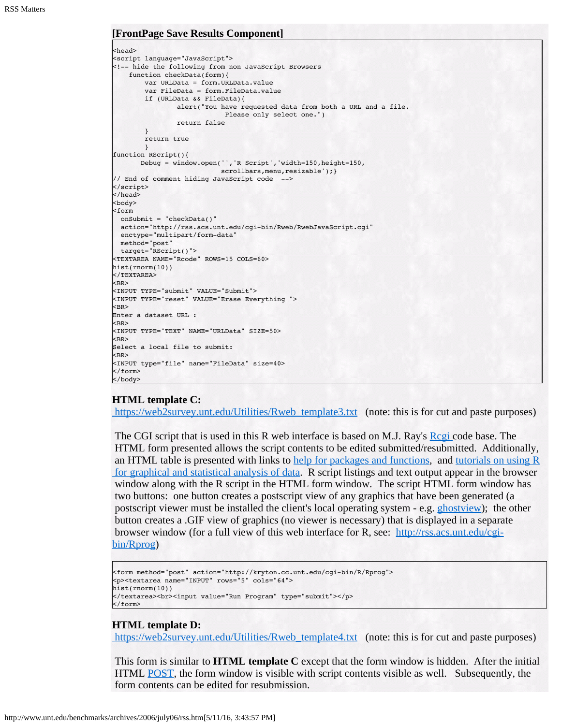#### **[FrontPage Save Results Component]**

```
<head>
<script language="JavaScript">
<!-- hide the following from non JavaScript Browsers 
    function checkData(form){
       var URLData = form.URLData.value
       var FileData = form.FileData.value
       if (URLData && FileData){
                alert("You have requested data from both a URL and a file.
                            Please only select one.")
                 return false
        }
        return true
       }
function RScript(){
       Debug = window.open('','R Script','width=150,height=150,
                          scrollbars, menu, resizable'); }
// End of comment hiding JavaScript code -->
</script>
</head>
<body>
<form 
  onSubmit = "checkData()"
  action="http://rss.acs.unt.edu/cgi-bin/Rweb/RwebJavaScript.cgi"
  enctype="multipart/form-data" 
  method="post"
  target="RScript()">
<TEXTAREA NAME="Rcode" ROWS=15 COLS=60>
hist(rnorm(10))
</TEXTAREA> 
<BR><INPUT TYPE="submit" VALUE="Submit">
<INPUT TYPE="reset" VALUE="Erase Everything ">
<BR>Enter a dataset URL : 
<BR><INPUT TYPE="TEXT" NAME="URLData" SIZE=50>
<BR>Select a local file to submit: 
<BR><INPUT type="file" name="FileData" size=40>
</form>
</body>
```
#### **HTML template C:**

[https://web2survey.unt.edu/Utilities/Rweb\\_template3.txt](https://web2survey.unt.edu/Utilities/Rweb_template3.txt) (note: this is for cut and paste purposes)

The CGI script that is used in this R web interface is based on M.J. Ray's [Rcgi](http://www.ms.uky.edu/~statweb/) code base. The HTML form presented allows the script contents to be edited submitted/resubmitted. Additionally, an HTML table is presented with links to [help for packages and functions,](http://rss.acs.unt.edu/Rdoc/doc/html/) and tutorials on using  $R$  [for graphical and statistical analysis of data](http://www.cran.r-project.org/other-docs.html). R script listings and text output appear in the browser window along with the R script in the HTML form window. The script HTML form window has two buttons: one button creates a postscript view of any graphics that have been generated (a postscript viewer must be installed the client's local operating system - e.g. [ghostview](http://www.cs.wisc.edu/~ghost/)); the other button creates a .GIF view of graphics (no viewer is necessary) that is displayed in a separate browser window (for a full view of this web interface for R, see: [http://rss.acs.unt.edu/cgi](http://rss.acs.unt.edu/cgi-bin/R/Rprog)[bin/Rprog](http://rss.acs.unt.edu/cgi-bin/R/Rprog))

```
<form method="post" action="http://kryton.cc.unt.edu/cgi-bin/R/Rprog">
<p><textarea name="INPUT" rows="5" cols="64">
hist(rnorm(10))
</textarea><br>>>input value="Run Program" type="submit"></p>
</form>
```
#### **HTML template D:**

[https://web2survey.unt.edu/Utilities/Rweb\\_template4.txt](https://web2survey.unt.edu/Utilities/Rweb_template4.txt) (note: this is for cut and paste purposes)

This form is similar to **HTML template C** except that the form window is hidden. After the initial HTML **[POST](http://en.wikipedia.org/wiki/HTTP)**, the form window is visible with script contents visible as well. Subsequently, the form contents can be edited for resubmission.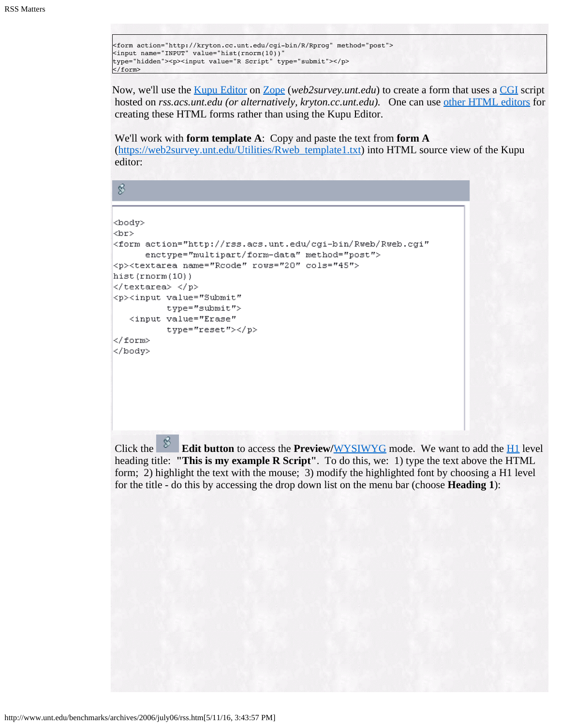<form action="http://kryton.cc.unt.edu/cgi-bin/R/Rprog" method="post"> <input name="INPUT" value="hist(rnorm(10))" type="hidden"><p><input value="R Script" type="submit"></p> </form>

Now, we'll use the [Kupu Editor](http://en.wikipedia.org/wiki/Kupu) on [Zope](http://en.wikipedia.org/wiki/Zope) (*web2survey.unt.edu*) to create a form that uses a [CGI](http://en.wikipedia.org/wiki/Common_Gateway_Interface) script hosted on *rss.acs.unt.edu (or alternatively, kryton.cc.unt.edu).* One can use [other HTML editors](https://web2survey.unt.edu/Utilities/utilities.htm) for creating these HTML forms rather than using the Kupu Editor.

We'll work with **form template A**: Copy and paste the text from **form A**

 [\(https://web2survey.unt.edu/Utilities/Rweb\\_template1.txt](https://web2survey.unt.edu/Utilities/Rweb_template1.txt)) into HTML source view of the Kupu editor:

\$

```
<body>
<br>
<form action="http://rss.acs.unt.edu/cgi-bin/Rweb/Rweb.cgi"
     enctype="multipart/form-data" method="post">
<p><textarea name="Rcode" rows="20" cols="45">
hist(rnorm(10))
</textarea> </p>
<p><input value="Submit"
         type="submit">
  <input value="Erase"
         type="reset"></p>
</form>
</body>
```
Click the **Edit button** to access the **Preview/[WYSIWYG](http://en.wikipedia.org/wiki/Wysiwyg)** mode. We want to add the **[H1](http://en.wikipedia.org/wiki/HTML)** level heading title: **"This is my example R Script"**. To do this, we: 1) type the text above the HTML form; 2) highlight the text with the mouse; 3) modify the highlighted font by choosing a H1 level for the title - do this by accessing the drop down list on the menu bar (choose **Heading 1**):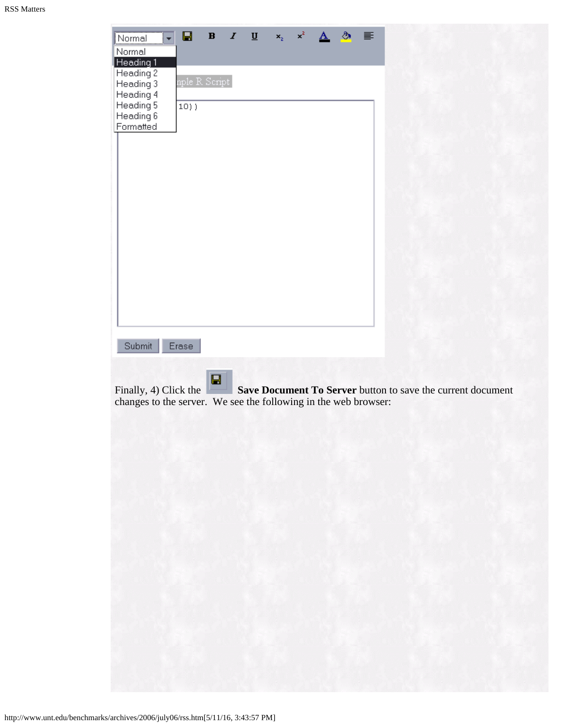| Normal<br>Normal                                                                                   | Ч                        | $\bf{B}$ | $\underline{\mathbf{u}}$<br>1 | x, |  | ↭ | ≣ |  |                                                             |  |
|----------------------------------------------------------------------------------------------------|--------------------------|----------|-------------------------------|----|--|---|---|--|-------------------------------------------------------------|--|
| Heading 1<br>Heading 2<br>Heading 3<br>Heading 4<br>Heading 5<br>Heading 6<br>Formatted            | nple R Script<br>$10)$ ) |          |                               |    |  |   |   |  |                                                             |  |
|                                                                                                    |                          |          |                               |    |  |   |   |  |                                                             |  |
| Submit<br>Finally, 4) Click the<br>changes to the server. We see the following in the web browser: | Erase                    | ⊟<br>щ   |                               |    |  |   |   |  | Save Document To Server button to save the current document |  |
|                                                                                                    |                          |          | WE K                          |    |  |   |   |  |                                                             |  |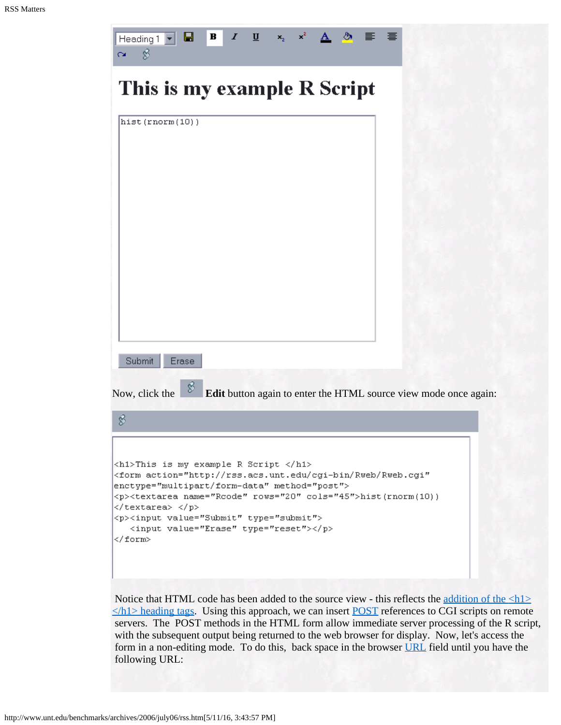| $\mathbf{x}^2 =$<br>$\blacksquare$<br>$\underline{\mathbf{U}}$ $\mathbf{x}_2$<br>Ы<br>$\boldsymbol{I}$<br>Heading $1 -$<br>${\bf A}$<br>\$                                                                                                                                                                                                                                            |
|---------------------------------------------------------------------------------------------------------------------------------------------------------------------------------------------------------------------------------------------------------------------------------------------------------------------------------------------------------------------------------------|
| This is my example R Script                                                                                                                                                                                                                                                                                                                                                           |
| hist(rnorm(10))<br>Submit<br>Erase                                                                                                                                                                                                                                                                                                                                                    |
| Ø<br>Edit button again to enter the HTML source view mode once again:<br>Now, click the                                                                                                                                                                                                                                                                                               |
| 8                                                                                                                                                                                                                                                                                                                                                                                     |
| $\langle h1\rangle$ This is my example R Script $\langle h1\rangle$<br><form <br="" action="http://rss.acs.unt.edu/cgi-bin/Rweb/Rweb.cgi">enctype="multipart/form-data" method="post"&gt;<br/><p><textarea cols="45" name="Rcode" rows="20">hist(rnorm(10))<br/></textarea> </p><br/><p><input type="submit" value="Submit"/><br/><input type="reset" value="Erase"/></p><br/></form> |

Notice that HTML code has been added to the source view - this reflects the <u>addition of the  $\langle h1 \rangle$ </u>  $\le$ /h1> heading tags. Using this approach, we can insert [POST](http://en.wikipedia.org/wiki/HTTP) references to CGI scripts on remote servers. The POST methods in the HTML form allow immediate server processing of the R script, with the subsequent output being returned to the web browser for display. Now, let's access the form in a non-editing mode. To do this, back space in the browser [URL](http://en.wikipedia.org/wiki/URL) field until you have the following URL: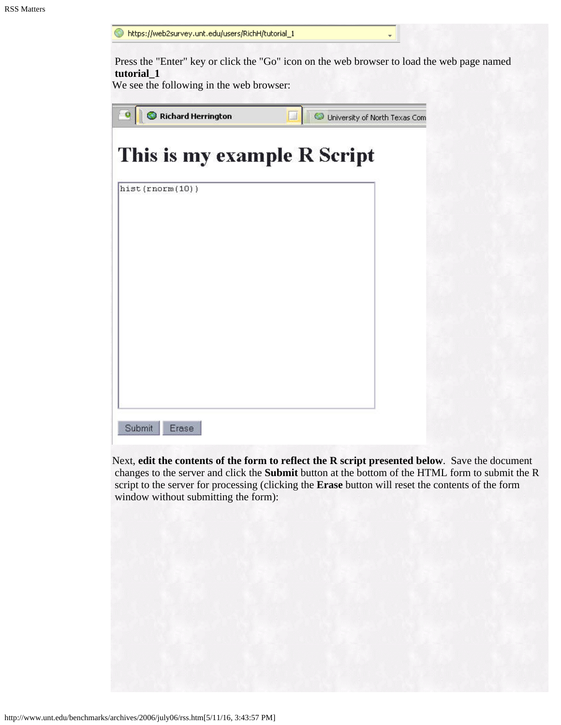| https://web2survey.unt.edu/users/RichH/tutorial_1      |                                                                                            |
|--------------------------------------------------------|--------------------------------------------------------------------------------------------|
| tutorial 1<br>We see the following in the web browser: | Press the "Enter" key or click the "Go" icon on the web browser to load the web page named |
| Richard Herrington                                     | University of North Texas Com                                                              |
| This is my example R Script                            |                                                                                            |
| hist(rnorm(10))                                        |                                                                                            |
|                                                        |                                                                                            |
|                                                        |                                                                                            |
|                                                        |                                                                                            |
|                                                        |                                                                                            |
|                                                        |                                                                                            |
| Submit<br>Erase                                        |                                                                                            |

Next, **edit the contents of the form to reflect the R script presented below**. Save the document changes to the server and click the **Submit** button at the bottom of the HTML form to submit the R script to the server for processing (clicking the **Erase** button will reset the contents of the form window without submitting the form):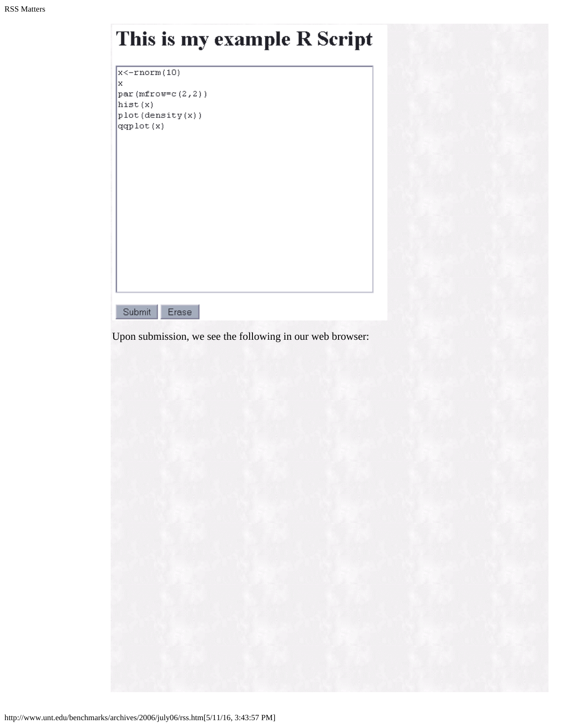|  |  |  | <b>This is my example R Script</b> |  |  |  |
|--|--|--|------------------------------------|--|--|--|
|--|--|--|------------------------------------|--|--|--|

| x<-rnorm(10)       |
|--------------------|
| x                  |
| par (mfrow=c(2,2)) |
| hist(x)            |
| plot(density(x))   |
| ggplot(x)          |
|                    |
|                    |
|                    |

Submit Erase

Upon submission, we see the following in our web browser: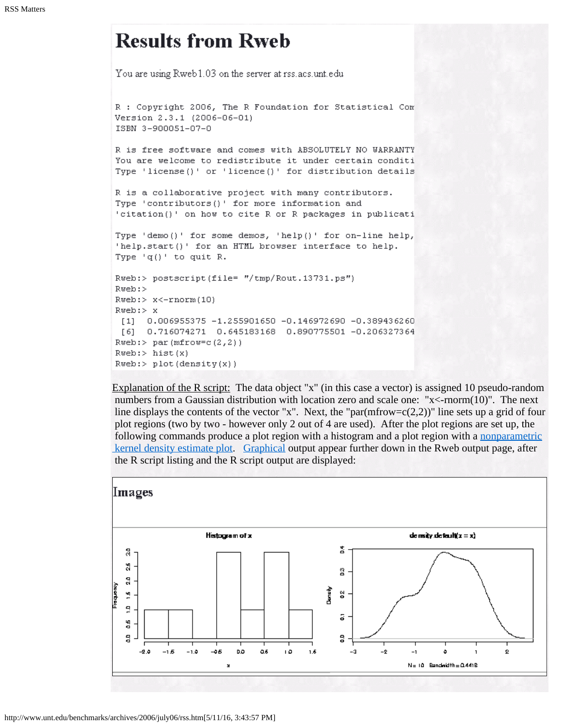# **Results from Rweb**

You are using Rweb1.03 on the server at rss.acs.unt.edu R : Copyright 2006, The R Foundation for Statistical Com Version 2.3.1 (2006-06-01) ISBN 3-900051-07-0 R is free software and comes with ABSOLUTELY NO WARRANTY You are welcome to redistribute it under certain conditi Type 'license()' or 'licence()' for distribution details R is a collaborative project with many contributors. Type 'contributors()' for more information and 'citation()' on how to cite R or R packages in publicati Type 'demo()' for some demos, 'help()' for on-line help, 'help.start()' for an HTML browser interface to help. Type 'q()' to quit R. Rweb:> postscript(file= "/tmp/Rout.13731.ps") Rweb:> Rweb:> x<-rnorm(10)  $Rweb: > x$ [1] 0.006955375 -1.255901650 -0.146972690 -0.389436260 [6] 0.716074271 0.645183168 0.890775501 -0.206327364  $Rweb:$  par (mfrow=c(2,2))  $Rweb: > hist(x)$  $Rweb: > plot(density(x))$ 

Explanation of the R script: The data object "x" (in this case a vector) is assigned 10 pseudo-random numbers from a Gaussian distribution with location zero and scale one: "x<-rnorm(10)". The next line displays the contents of the vector "x". Next, the "par(mfrow=c(2,2))" line sets up a grid of four plot regions (two by two - however only 2 out of 4 are used). After the plot regions are set up, the following commands produce a plot region with a histogram and a plot region with a [nonparametric](http://www.unt.edu/benchmarks/archives/2003/february03/rss.htm)  [kernel density estimate plot](http://www.unt.edu/benchmarks/archives/2003/february03/rss.htm). [Graphical](http://www.unt.edu/benchmarks/archives/2002/december02/rss.htm) output appear further down in the Rweb output page, after the R script listing and the R script output are displayed:

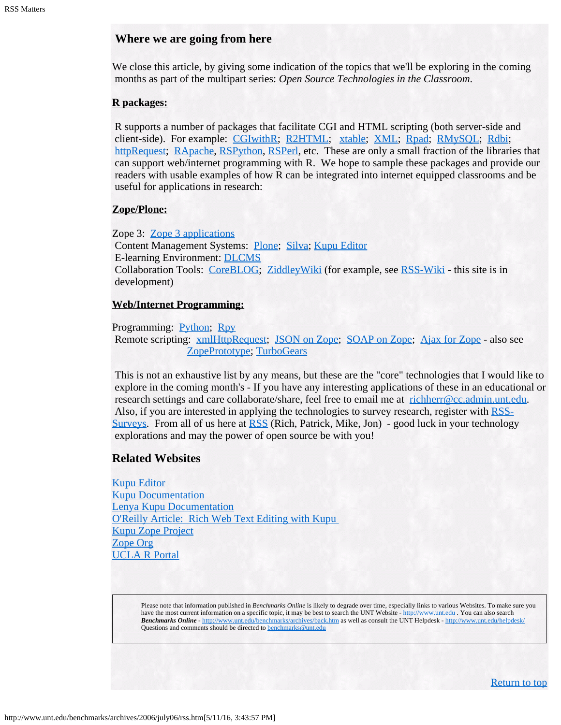### **Where we are going from here**

We close this article, by giving some indication of the topics that we'll be exploring in the coming months as part of the multipart series: *Open Source Technologies in the Classroom*.

#### **R packages:**

R supports a number of packages that facilitate CGI and HTML scripting (both server-side and client-side). For example: [CGIwithR](http://rss.acs.unt.edu/Rdoc/library/CGIwithR/html/00Index.html); [R2HTML](http://rss.acs.unt.edu/Rdoc/library/R2HTML/html/00Index.html); [xtable](http://rss.acs.unt.edu/Rdoc/library/xtable/html/00Index.html); [XML](http://rss.acs.unt.edu/Rdoc/library/XML/html/00Index.html); [Rpad](http://rss.acs.unt.edu/Rdoc/library/Rpad/html/00Index.html); [RMySQL](http://rss.acs.unt.edu/Rdoc/library/RMySQL/html/00Index.html); [Rdbi;](http://rss.acs.unt.edu/Rdoc/library/Rdbi/html/00Index.html) [httpRequest](http://rss.acs.unt.edu/Rdoc/library/httpRequest/html/00Index.html); [RApache](http://rss.acs.unt.edu/Rdoc/library/RApache/html/00Index.html), [RSPython](http://rss.acs.unt.edu/Rdoc/library/RSPython/html/00Index.html), [RSPerl](http://rss.acs.unt.edu/Rdoc/library/RSPerl/html/00Index.html), etc. These are only a small fraction of the libraries that can support web/internet programming with R. We hope to sample these packages and provide our readers with usable examples of how R can be integrated into internet equipped classrooms and be useful for applications in research:

#### **Zope/Plone:**

Zope 3: [Zope 3 applications](http://www.zopemag.com/Issue003/Section_Articles/article_Zope3UIPartI.html) Content Management Systems: [Plone](http://www.contentmanagementsoftware.info/plone/); [Silva](http://www.contentmanagementsoftware.info/zope/silva); [Kupu Editor](http://www.infrae.com/products/kupu_editor) E-learning Environment: [DLCMS](http://www.infrae.com/products/silva/extensions/silva_dlcms) Collaboration Tools: [CoreBLOG](http://coreblog.org/); [ZiddleyWiki](http://ziddlywiki.org/) (for example, see [RSS-Wiki](https://web2survey.unt.edu/RSS-Wiki) - this site is in development)

#### **Web/Internet Programming:**

Programming: [Python](http://www.python.org/); [Rpy](http://rpy.sourceforge.net/) Remote scripting: [xmlHttpRequest](http://en.wikipedia.org/wiki/Xmlhttprequest); [JSON on Zope](http://www.zope.org/Members/ree/jsonserver2); [SOAP on Zope](http://www.contentmanagementsoftware.info/zope/SOAPSupport); [Ajax for Zope](http://blogs.nuxeo.com/sections/blogs/tarek_ziade/2005_12_06_choosing-javascript) - also see [ZopePrototype](http://www.zope.org/Members/fabiorizzo/zopeprototype); [TurboGears](http://www.turbogears.org/)

This is not an exhaustive list by any means, but these are the "core" technologies that I would like to explore in the coming month's - If you have any interesting applications of these in an educational or research settings and care collaborate/share, feel free to email me at [richherr@cc.admin.unt.edu.](mailto:richherr@cc.admin.unt.edu) Also, if you are interested in applying the technologies to survey research, register with [RSS-](https://web2survey.unt.edu/RSS-Surveys)[Surveys](https://web2survey.unt.edu/RSS-Surveys). From all of us here at [RSS](http://www.unt.edu/rss/) (Rich, Patrick, Mike, Jon) - good luck in your technology explorations and may the power of open source be with you!

### **Related Websites**

[Kupu Editor](http://kupu.oscom.org/) [Kupu Documentation](http://plone.org/products/kupu/documentation/kupudocs) [Lenya Kupu Documentation](http://gridoc.triumf.ca/help/kupu.html) [O'Reilly Article: Rich Web Text Editing with Kupu](http://www.onlamp.com/lpt/a/5792)  [Kupu Zope Project](http://zope.org/Members/philikon/kupu-103-annce) [Zope Org](http://www.zope.org/) [UCLA R Portal](http://statcomp.ats.ucla.edu/r/)

> Please note that information published in *Benchmarks Online* is likely to degrade over time, especially links to various Websites. To make sure you have the most current information on a specific topic, it may be best to search the UNT Website - [http://www.unt.edu](http://www.unt.edu/) . You can also search *Benchmarks Online* - <http://www.unt.edu/benchmarks/archives/back.htm> as well as consult the UNT Helpdesk - <http://www.unt.edu/helpdesk/> Questions and comments should be directed to **benchmarks@unt.edu**